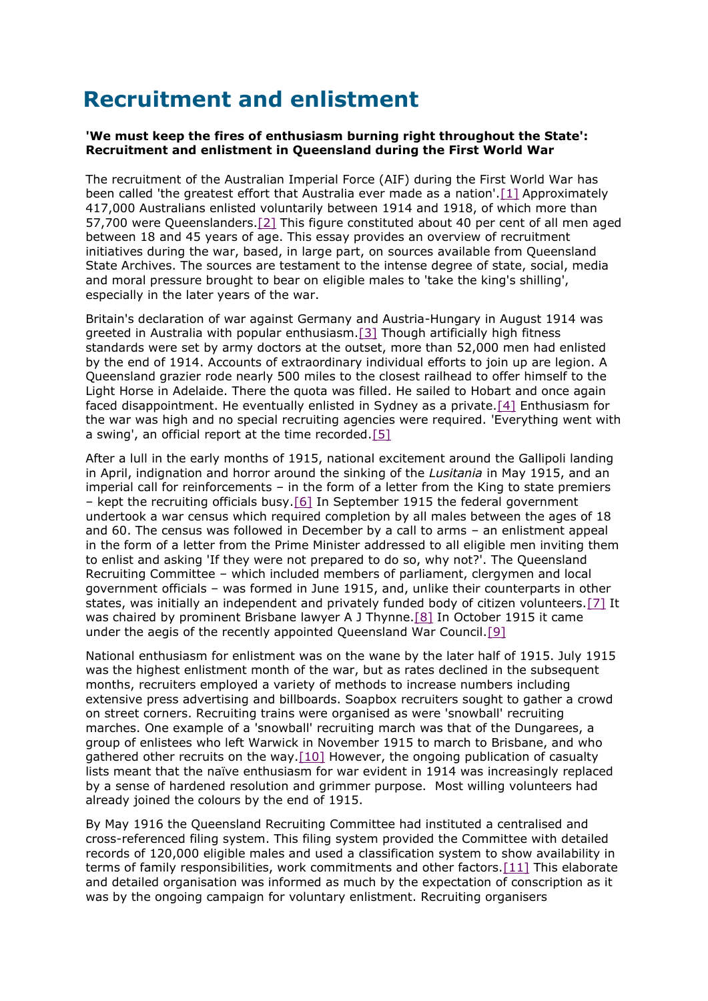# **Recruitment and enlistment**

### **'We must keep the fires of enthusiasm burning right throughout the State': Recruitment and enlistment in Queensland during the First World War**

The recruitment of the Australian Imperial Force (AIF) during the First World War has been called 'the greatest effort that Australia ever made as a nation'[.\[1\]](https://web.archive.org.au/awa/20140801174110mp_/http:/www.archives.qld.gov.au/Researchers/History/HistoricalEssays/Pages/recruitment_and_enlistment.aspx#_edn1) Approximately 417,000 Australians enlisted voluntarily between 1914 and 1918, of which more than 57,700 were Queenslanders[.\[2\]](https://web.archive.org.au/awa/20140801174110mp_/http:/www.archives.qld.gov.au/Researchers/History/HistoricalEssays/Pages/recruitment_and_enlistment.aspx#_edn2) This figure constituted about 40 per cent of all men aged between 18 and 45 years of age. This essay provides an overview of recruitment initiatives during the war, based, in large part, on sources available from Queensland State Archives. The sources are testament to the intense degree of state, social, media and moral pressure brought to bear on eligible males to 'take the king's shilling', especially in the later years of the war.

Britain's declaration of war against Germany and Austria-Hungary in August 1914 was greeted in Australia with popular enthusiasm[.\[3\]](https://web.archive.org.au/awa/20140801174110mp_/http:/www.archives.qld.gov.au/Researchers/History/HistoricalEssays/Pages/recruitment_and_enlistment.aspx#_edn3) Though artificially high fitness standards were set by army doctors at the outset, more than 52,000 men had enlisted by the end of 1914. Accounts of extraordinary individual efforts to join up are legion. A Queensland grazier rode nearly 500 miles to the closest railhead to offer himself to the Light Horse in Adelaide. There the quota was filled. He sailed to Hobart and once again faced disappointment. He eventually enlisted in Sydney as a private[.\[4\]](https://web.archive.org.au/awa/20140801174110mp_/http:/www.archives.qld.gov.au/Researchers/History/HistoricalEssays/Pages/recruitment_and_enlistment.aspx#_edn4) Enthusiasm for the war was high and no special recruiting agencies were required. 'Everything went with a swing', an official report at the time recorded[.\[5\]](https://web.archive.org.au/awa/20140801174110mp_/http:/www.archives.qld.gov.au/Researchers/History/HistoricalEssays/Pages/recruitment_and_enlistment.aspx#_edn5)

After a lull in the early months of 1915, national excitement around the Gallipoli landing in April, indignation and horror around the sinking of the *Lusitania* in May 1915, and an imperial call for reinforcements – in the form of a letter from the King to state premiers – kept the recruiting officials busy[.\[6\]](https://web.archive.org.au/awa/20140801174110mp_/http:/www.archives.qld.gov.au/Researchers/History/HistoricalEssays/Pages/recruitment_and_enlistment.aspx#_edn6) In September 1915 the federal government undertook a war census which required completion by all males between the ages of 18 and 60. The census was followed in December by a call to arms – an enlistment appeal in the form of a letter from the Prime Minister addressed to all eligible men inviting them to enlist and asking 'If they were not prepared to do so, why not?'. The Queensland Recruiting Committee – which included members of parliament, clergymen and local government officials – was formed in June 1915, and, unlike their counterparts in other states, was initially an independent and privately funded body of citizen volunteers[.\[7\]](https://web.archive.org.au/awa/20140801174110mp_/http:/www.archives.qld.gov.au/Researchers/History/HistoricalEssays/Pages/recruitment_and_enlistment.aspx#_edn7) It was chaired by prominent Brisbane lawyer A J Thynne[.\[8\]](https://web.archive.org.au/awa/20140801174110mp_/http:/www.archives.qld.gov.au/Researchers/History/HistoricalEssays/Pages/recruitment_and_enlistment.aspx#_edn8) In October 1915 it came under the aegis of the recently appointed Queensland War Council[.\[9\]](https://web.archive.org.au/awa/20140801174110mp_/http:/www.archives.qld.gov.au/Researchers/History/HistoricalEssays/Pages/recruitment_and_enlistment.aspx#_edn9)

National enthusiasm for enlistment was on the wane by the later half of 1915. July 1915 was the highest enlistment month of the war, but as rates declined in the subsequent months, recruiters employed a variety of methods to increase numbers including extensive press advertising and billboards. Soapbox recruiters sought to gather a crowd on street corners. Recruiting trains were organised as were 'snowball' recruiting marches. One example of a 'snowball' recruiting march was that of the Dungarees, a group of enlistees who left Warwick in November 1915 to march to Brisbane, and who gathered other recruits on the way[.\[10\]](https://web.archive.org.au/awa/20140801174110mp_/http:/www.archives.qld.gov.au/Researchers/History/HistoricalEssays/Pages/recruitment_and_enlistment.aspx#_edn10) However, the ongoing publication of casualty lists meant that the naïve enthusiasm for war evident in 1914 was increasingly replaced by a sense of hardened resolution and grimmer purpose. Most willing volunteers had already joined the colours by the end of 1915.

By May 1916 the Queensland Recruiting Committee had instituted a centralised and cross-referenced filing system. This filing system provided the Committee with detailed records of 120,000 eligible males and used a classification system to show availability in terms of family responsibilities, work commitments and other factors[.\[11\]](https://web.archive.org.au/awa/20140801174110mp_/http:/www.archives.qld.gov.au/Researchers/History/HistoricalEssays/Pages/recruitment_and_enlistment.aspx#_edn11) This elaborate and detailed organisation was informed as much by the expectation of conscription as it was by the ongoing campaign for voluntary enlistment. Recruiting organisers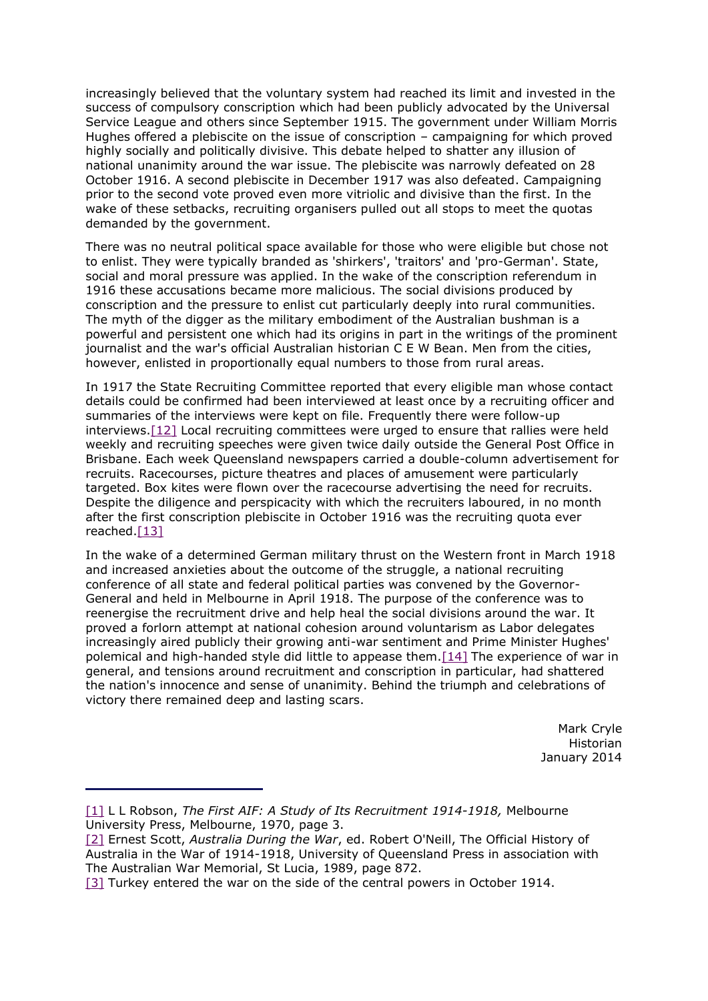increasingly believed that the voluntary system had reached its limit and invested in the success of compulsory conscription which had been publicly advocated by the Universal Service League and others since September 1915. The government under William Morris Hughes offered a plebiscite on the issue of conscription – campaigning for which proved highly socially and politically divisive. This debate helped to shatter any illusion of national unanimity around the war issue. The plebiscite was narrowly defeated on 28 October 1916. A second plebiscite in December 1917 was also defeated. Campaigning prior to the second vote proved even more vitriolic and divisive than the first. In the wake of these setbacks, recruiting organisers pulled out all stops to meet the quotas demanded by the government.

There was no neutral political space available for those who were eligible but chose not to enlist. They were typically branded as 'shirkers', 'traitors' and 'pro-German'. State, social and moral pressure was applied. In the wake of the conscription referendum in 1916 these accusations became more malicious. The social divisions produced by conscription and the pressure to enlist cut particularly deeply into rural communities. The myth of the digger as the military embodiment of the Australian bushman is a powerful and persistent one which had its origins in part in the writings of the prominent journalist and the war's official Australian historian C E W Bean. Men from the cities, however, enlisted in proportionally equal numbers to those from rural areas.

In 1917 the State Recruiting Committee reported that every eligible man whose contact details could be confirmed had been interviewed at least once by a recruiting officer and summaries of the interviews were kept on file. Frequently there were follow-up interviews[.\[12\]](https://web.archive.org.au/awa/20140801174110mp_/http:/www.archives.qld.gov.au/Researchers/History/HistoricalEssays/Pages/recruitment_and_enlistment.aspx#_edn12) Local recruiting committees were urged to ensure that rallies were held weekly and recruiting speeches were given twice daily outside the General Post Office in Brisbane. Each week Queensland newspapers carried a double-column advertisement for recruits. Racecourses, picture theatres and places of amusement were particularly targeted. Box kites were flown over the racecourse advertising the need for recruits. Despite the diligence and perspicacity with which the recruiters laboured, in no month after the first conscription plebiscite in October 1916 was the recruiting quota ever reached[.\[13\]](https://web.archive.org.au/awa/20140801174110mp_/http:/www.archives.qld.gov.au/Researchers/History/HistoricalEssays/Pages/recruitment_and_enlistment.aspx#_edn13)

In the wake of a determined German military thrust on the Western front in March 1918 and increased anxieties about the outcome of the struggle, a national recruiting conference of all state and federal political parties was convened by the Governor-General and held in Melbourne in April 1918. The purpose of the conference was to reenergise the recruitment drive and help heal the social divisions around the war. It proved a forlorn attempt at national cohesion around voluntarism as Labor delegates increasingly aired publicly their growing anti-war sentiment and Prime Minister Hughes' polemical and high-handed style did little to appease them[.\[14\]](https://web.archive.org.au/awa/20140801174110mp_/http:/www.archives.qld.gov.au/Researchers/History/HistoricalEssays/Pages/recruitment_and_enlistment.aspx#_edn14) The experience of war in general, and tensions around recruitment and conscription in particular, had shattered the nation's innocence and sense of unanimity. Behind the triumph and celebrations of victory there remained deep and lasting scars.

> Mark Cryle **Historian** January 2014

[<sup>\[1\]</sup>](https://web.archive.org.au/awa/20140801174110mp_/http:/www.archives.qld.gov.au/Researchers/History/HistoricalEssays/Pages/recruitment_and_enlistment.aspx#_ednref1) L L Robson, *The First AIF: A Study of Its Recruitment 1914-1918,* Melbourne University Press, Melbourne, 1970, page 3.

[<sup>\[2\]</sup>](https://web.archive.org.au/awa/20140801174110mp_/http:/www.archives.qld.gov.au/Researchers/History/HistoricalEssays/Pages/recruitment_and_enlistment.aspx#_ednref2) Ernest Scott, *Australia During the War*, ed. Robert O'Neill, The Official History of Australia in the War of 1914-1918, University of Queensland Press in association with The Australian War Memorial, St Lucia, 1989, page 872.

[<sup>\[3\]</sup>](https://web.archive.org.au/awa/20140801174110mp_/http:/www.archives.qld.gov.au/Researchers/History/HistoricalEssays/Pages/recruitment_and_enlistment.aspx#_ednref3) Turkey entered the war on the side of the central powers in October 1914.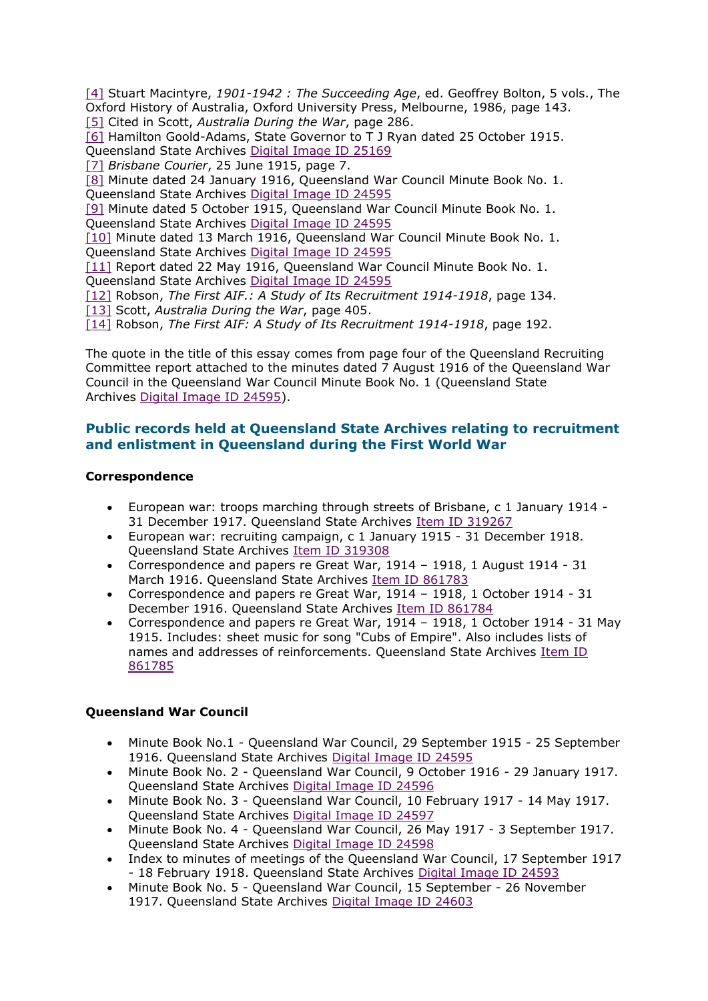[\[4\]](https://web.archive.org.au/awa/20140801174110mp_/http:/www.archives.qld.gov.au/Researchers/History/HistoricalEssays/Pages/recruitment_and_enlistment.aspx#_ednref4) Stuart Macintyre, *1901-1942 : The Succeeding Age*, ed. Geoffrey Bolton, 5 vols., The Oxford History of Australia, Oxford University Press, Melbourne, 1986, page 143. [\[5\]](https://web.archive.org.au/awa/20140801174110mp_/http:/www.archives.qld.gov.au/Researchers/History/HistoricalEssays/Pages/recruitment_and_enlistment.aspx#_ednref5) Cited in Scott, *Australia During the War*, page 286.

[\[6\]](https://web.archive.org.au/awa/20140801174110mp_/http:/www.archives.qld.gov.au/Researchers/History/HistoricalEssays/Pages/recruitment_and_enlistment.aspx#_ednref6) Hamilton Goold-Adams, State Governor to T J Ryan dated 25 October 1915. Queensland State Archives [Digital Image ID 25169](https://web.archive.org.au/awa/20140801174110mp_/http:/www.archivessearch.qld.gov.au/Image/DigitalImageDetails.aspx?ImageId=25169)

[\[7\]](https://web.archive.org.au/awa/20140801174110mp_/http:/www.archives.qld.gov.au/Researchers/History/HistoricalEssays/Pages/recruitment_and_enlistment.aspx#_ednref7) *Brisbane Courier*, 25 June 1915, page 7.

[\[8\]](https://web.archive.org.au/awa/20140801174110mp_/http:/www.archives.qld.gov.au/Researchers/History/HistoricalEssays/Pages/recruitment_and_enlistment.aspx#_ednref8) Minute dated 24 January 1916, Queensland War Council Minute Book No. 1. Queensland State Archives [Digital Image ID 24595](https://web.archive.org.au/awa/20140801174110mp_/http:/www.archivessearch.qld.gov.au/Image/DigitalImageDetails.aspx?ImageId=24595)

[\[9\]](https://web.archive.org.au/awa/20140801174110mp_/http:/www.archives.qld.gov.au/Researchers/History/HistoricalEssays/Pages/recruitment_and_enlistment.aspx#_ednref9) Minute dated 5 October 1915, Queensland War Council Minute Book No. 1. Queensland State Archives [Digital Image ID 24595](https://web.archive.org.au/awa/20140801174110mp_/http:/www.archivessearch.qld.gov.au/Image/DigitalImageDetails.aspx?ImageId=24595)

[\[10\]](https://web.archive.org.au/awa/20140801174110mp_/http:/www.archives.qld.gov.au/Researchers/History/HistoricalEssays/Pages/recruitment_and_enlistment.aspx#_ednref10) Minute dated 13 March 1916, Queensland War Council Minute Book No. 1. Queensland State Archives [Digital Image ID 24595](https://web.archive.org.au/awa/20140801174110mp_/http:/www.archivessearch.qld.gov.au/Image/DigitalImageDetails.aspx?ImageId=24595)

[\[11\]](https://web.archive.org.au/awa/20140801174110mp_/http:/www.archives.qld.gov.au/Researchers/History/HistoricalEssays/Pages/recruitment_and_enlistment.aspx#_ednref11) Report dated 22 May 1916, Queensland War Council Minute Book No. 1. Queensland State Archives [Digital Image ID 24595](https://web.archive.org.au/awa/20140801174110mp_/http:/www.archivessearch.qld.gov.au/Image/DigitalImageDetails.aspx?ImageId=24595)

[\[12\]](https://web.archive.org.au/awa/20140801174110mp_/http:/www.archives.qld.gov.au/Researchers/History/HistoricalEssays/Pages/recruitment_and_enlistment.aspx#_ednref12) Robson, *The First AIF.: A Study of Its Recruitment 1914-1918*, page 134.

[\[13\]](https://web.archive.org.au/awa/20140801174110mp_/http:/www.archives.qld.gov.au/Researchers/History/HistoricalEssays/Pages/recruitment_and_enlistment.aspx#_ednref13) Scott, *Australia During the War*, page 405.

[\[14\]](https://web.archive.org.au/awa/20140801174110mp_/http:/www.archives.qld.gov.au/Researchers/History/HistoricalEssays/Pages/recruitment_and_enlistment.aspx#_ednref14) Robson, *The First AIF: A Study of Its Recruitment 1914-1918*, page 192.

The quote in the title of this essay comes from page four of the Queensland Recruiting Committee report attached to the minutes dated 7 August 1916 of the Queensland War Council in the Queensland War Council Minute Book No. 1 (Queensland State Archives [Digital Image ID 24595\)](https://web.archive.org.au/awa/20140801174110mp_/http:/www.archivessearch.qld.gov.au/Image/DigitalImageDetails.aspx?ImageId=24595).

## **Public records held at Queensland State Archives relating to recruitment and enlistment in Queensland during the First World War**

### **Correspondence**

- European war: troops marching through streets of Brisbane, c 1 January 1914 31 December 1917. Queensland State Archives [Item ID 319267](https://web.archive.org.au/awa/20140801174110mp_/http:/www.archivessearch.qld.gov.au/Search/ItemDetails.aspx?ItemId=319267)
- European war: recruiting campaign, c 1 January 1915 31 December 1918. Queensland State Archives [Item ID 319308](https://web.archive.org.au/awa/20140801174110mp_/http:/www.archivessearch.qld.gov.au/Search/ItemDetails.aspx?ItemId=319308)
- Correspondence and papers re Great War, 1914 1918, 1 August 1914 31 March 1916. Queensland State Archives [Item ID 861783](https://web.archive.org.au/awa/20140801174110mp_/http:/www.archivessearch.qld.gov.au/Search/ItemDetails.aspx?ItemId=861783)
- Correspondence and papers re Great War, 1914 1918, 1 October 1914 31 December 1916. Queensland State Archives [Item ID 861784](https://web.archive.org.au/awa/20140801174110mp_/http:/www.archivessearch.qld.gov.au/Search/ItemDetails.aspx?ItemId=861784)
- Correspondence and papers re Great War, 1914 1918, 1 October 1914 31 May 1915. Includes: sheet music for song "Cubs of Empire". Also includes lists of names and addresses of reinforcements. Queensland State Archives Item ID [861785](https://web.archive.org.au/awa/20140801174110mp_/http:/www.archivessearch.qld.gov.au/Search/ItemDetails.aspx?ItemId=861785)

### **Queensland War Council**

- Minute Book No.1 Queensland War Council, 29 September 1915 25 September 1916. Queensland State Archives [Digital Image ID 24595](https://web.archive.org.au/awa/20140801174110mp_/http:/www.archivessearch.qld.gov.au/Image/DigitalImageDetails.aspx?ImageId=24595)
- Minute Book No. 2 Queensland War Council, 9 October 1916 29 January 1917. Queensland State Archives [Digital Image ID 24596](https://web.archive.org.au/awa/20140801174110mp_/http:/www.archivessearch.qld.gov.au/Image/DigitalImageDetails.aspx?ImageId=24596)
- Minute Book No. 3 Queensland War Council, 10 February 1917 14 May 1917. Queensland State Archives [Digital Image ID 24597](https://web.archive.org.au/awa/20140801174110mp_/http:/www.archivessearch.qld.gov.au/Image/DigitalImageDetails.aspx?ImageId=24597)
- Minute Book No. 4 Queensland War Council, 26 May 1917 3 September 1917. Queensland State Archives [Digital Image ID 24598](https://web.archive.org.au/awa/20140801174110mp_/http:/www.archivessearch.qld.gov.au/Image/DigitalImageDetails.aspx?ImageId=24598)
- Index to minutes of meetings of the Queensland War Council, 17 September 1917 - 18 February 1918. Queensland State Archives [Digital Image ID 24593](https://web.archive.org.au/awa/20140801174110mp_/http:/www.archivessearch.qld.gov.au/Image/DigitalImageDetails.aspx?ImageId=24593)
- Minute Book No. 5 Queensland War Council, 15 September 26 November 1917. Queensland State Archives [Digital Image ID 24603](https://web.archive.org.au/awa/20140801174110mp_/http:/www.archivessearch.qld.gov.au/Image/DigitalImageDetails.aspx?ImageId=24603)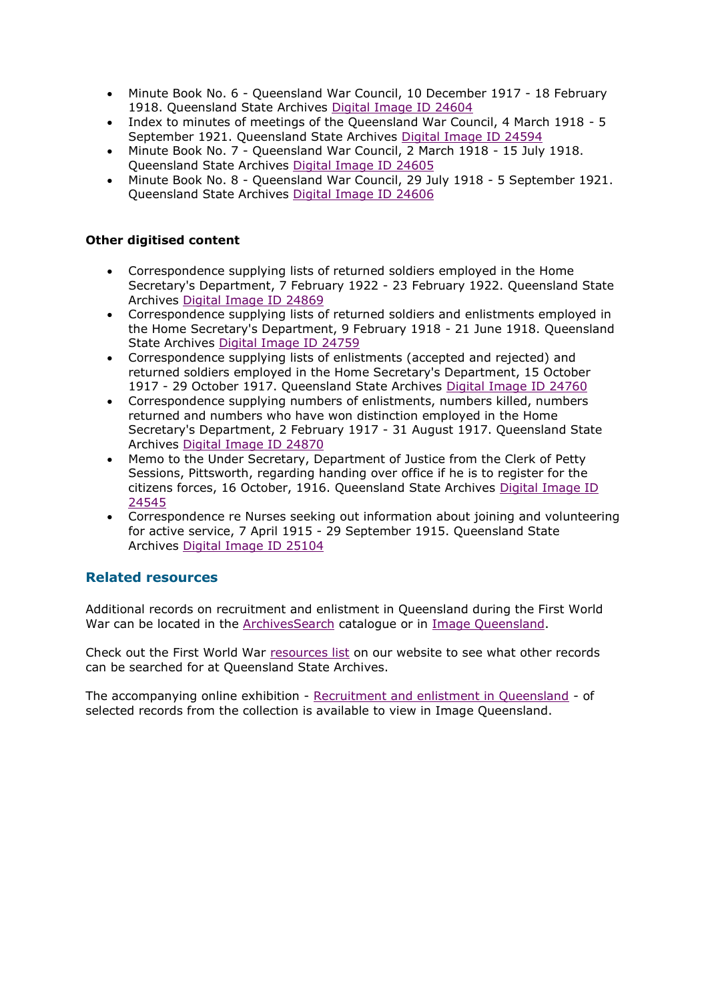- Minute Book No. 6 Queensland War Council, 10 December 1917 18 February 1918. Queensland State Archives [Digital Image ID 24604](https://web.archive.org.au/awa/20140801174110mp_/http:/www.archivessearch.qld.gov.au/Image/DigitalImageDetails.aspx?ImageId=24604)
- Index to minutes of meetings of the Queensland War Council, 4 March 1918 5 September 1921. Queensland State Archives [Digital Image ID 24594](https://web.archive.org.au/awa/20140801174110mp_/http:/www.archivessearch.qld.gov.au/Image/DigitalImageDetails.aspx?ImageId=24594)
- Minute Book No. 7 Queensland War Council, 2 March 1918 15 July 1918. Queensland State Archives [Digital Image ID 24605](https://web.archive.org.au/awa/20140801174110mp_/http:/www.archivessearch.qld.gov.au/Image/DigitalImageDetails.aspx?ImageId=24605)
- Minute Book No. 8 Queensland War Council, 29 July 1918 5 September 1921. Queensland State Archives [Digital Image ID 24606](https://web.archive.org.au/awa/20140801174110mp_/http:/www.archivessearch.qld.gov.au/Image/DigitalImageDetails.aspx?ImageId=24606)

### **Other digitised content**

- Correspondence supplying lists of returned soldiers employed in the Home Secretary's Department, 7 February 1922 - 23 February 1922. Queensland State Archives [Digital Image ID 24869](https://web.archive.org.au/awa/20140801174110mp_/http:/www.archivessearch.qld.gov.au/Image/DigitalImageDetails.aspx?ImageId=24869)
- Correspondence supplying lists of returned soldiers and enlistments employed in the Home Secretary's Department, 9 February 1918 - 21 June 1918. Queensland State Archives [Digital Image ID 24759](https://web.archive.org.au/awa/20140801174110mp_/http:/www.archivessearch.qld.gov.au/Image/DigitalImageDetails.aspx?ImageId=24759)
- Correspondence supplying lists of enlistments (accepted and rejected) and returned soldiers employed in the Home Secretary's Department, 15 October 1917 - 29 October 1917. Queensland State Archives [Digital Image ID 24760](https://web.archive.org.au/awa/20140801174110mp_/http:/www.archivessearch.qld.gov.au/Image/DigitalImageDetails.aspx?ImageId=24760)
- Correspondence supplying numbers of enlistments, numbers killed, numbers returned and numbers who have won distinction employed in the Home Secretary's Department, 2 February 1917 - 31 August 1917. Queensland State Archives [Digital Image ID 24870](https://web.archive.org.au/awa/20140801174110mp_/http:/www.archivessearch.qld.gov.au/Image/DigitalImageDetails.aspx?ImageId=24870)
- Memo to the Under Secretary, Department of Justice from the Clerk of Petty Sessions, Pittsworth, regarding handing over office if he is to register for the citizens forces, 16 October, 1916. Queensland State Archives [Digital Image ID](https://web.archive.org.au/awa/20140801174110mp_/http:/www.archivessearch.qld.gov.au/Image/DigitalImageDetails.aspx?ImageId=24545)  [24545](https://web.archive.org.au/awa/20140801174110mp_/http:/www.archivessearch.qld.gov.au/Image/DigitalImageDetails.aspx?ImageId=24545)
- Correspondence re Nurses seeking out information about joining and volunteering for active service, 7 April 1915 - 29 September 1915. Queensland State Archives [Digital Image ID 25104](https://web.archive.org.au/awa/20140801174110mp_/http:/www.archivessearch.qld.gov.au/Image/DigitalImageDetails.aspx?ImageId=25104)

### **Related resources**

Additional records on recruitment and enlistment in Queensland during the First World War can be located in the [ArchivesSearch](https://web.archive.org.au/awa/20140801174110mp_/http:/www.archivessearch.qld.gov.au/Search/BasicSearch.aspx) catalogue or in [Image Queensland.](https://web.archive.org.au/awa/20140801174110mp_/http:/www.archivessearch.qld.gov.au/Image/ImageBasicSearch.aspx)

Check out the First World War [resources list](https://web.archive.org.au/awa/20140801174110mp_/http:/www.archives.qld.gov.au/Researchers/Resources/Pages/First-World-War.aspx) on our website to see what other records can be searched for at Queensland State Archives.

The accompanying online exhibition - [Recruitment and enlistment in Queensland](https://web.archive.org.au/awa/20140801174110mp_/http:/www.archivessearch.qld.gov.au/Exhibition/ExhibitionDetails.aspx?ExhibitionId=62) - of selected records from the collection is available to view in Image Queensland.